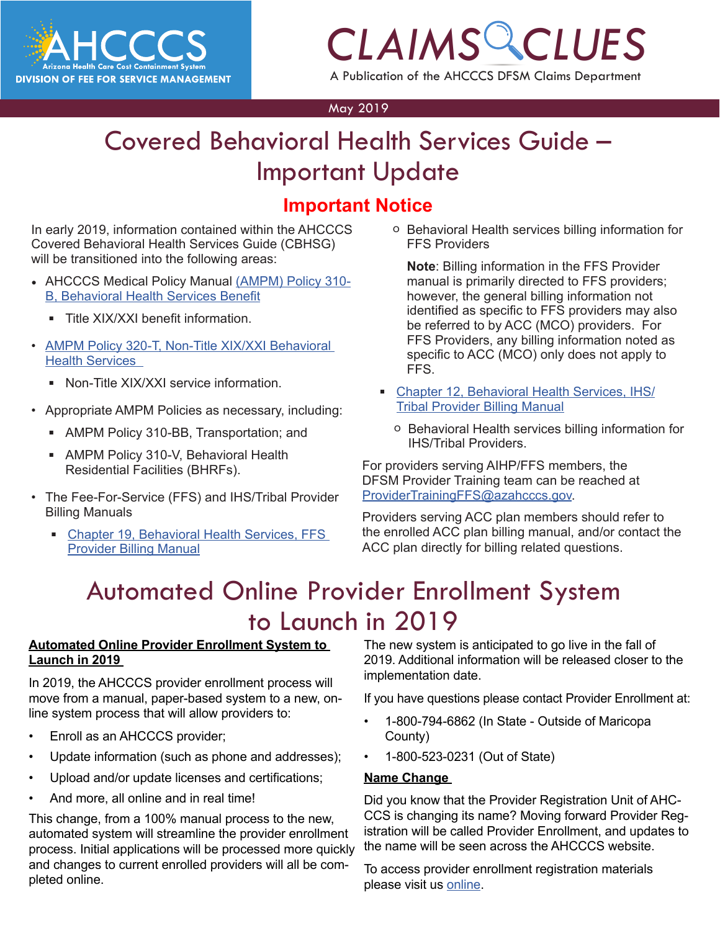

## *CLAIMS CLUES* A Publication of the AHCCCS DFSM Claims Department

May 2019

### **POCTVICES COIGE**<br>date Covered Behavioral Health Services Guide – Important Update

### **Important Notice**

In early 2019, information contained within the AHCCCS Covered Behavioral Health Services Guide (CBHSG) will be transitioned into the following areas:

- AHCCCS Medical Policy Manual [\(AMPM\) Policy 310-](https://www.azahcccs.gov/shared/Downloads/MedicalPolicyManual/310B.pdf) [B, Behavioral Health Services Benefit](https://www.azahcccs.gov/shared/Downloads/MedicalPolicyManual/310B.pdf)
	- Title XIX/XXI benefit information.
- AMPM Policy 320-T, Non-Title XIX/XXI Behavioral [Health Services](https://www.azahcccs.gov/shared/Downloads/MedicalPolicyManual/320T.pdf) 
	- Non-Title XIX/XXI service information
- Appropriate AMPM Policies as necessary, including:
	- AMPM Policy 310-BB, Transportation; and
	- AMPM Policy 310-V, Behavioral Health Residential Facilities (BHRFs).
- The Fee-For-Service (FFS) and IHS/Tribal Provider Billing Manuals
	- Chapter 19, Behavioral Health Services, FFS [Provider Billing Manual](https://www.azahcccs.gov/shared/Downloads/MedicalPolicyManual/310B.pdf)

o Behavioral Health services billing information for FFS Providers

**Note**: Billing information in the FFS Provider manual is primarily directed to FFS providers; however, the general billing information not identified as specific to FFS providers may also be referred to by ACC (MCO) providers. For FFS Providers, any billing information noted as specific to ACC (MCO) only does not apply to FFS.

- [Chapter 12, Behavioral Health Services, IHS/](https://www.azahcccs.gov/PlansProviders/Downloads/IHS-TribalManual/IHS-Chap12BehavioralHealth.pdf) [Tribal Provider Billing Manual](https://www.azahcccs.gov/PlansProviders/Downloads/IHS-TribalManual/IHS-Chap12BehavioralHealth.pdf)
	- o Behavioral Health services billing information for IHS/Tribal Providers.

For providers serving AIHP/FFS members, the DFSM Provider Training team can be reached at [ProviderTrainingFFS@azahcccs.gov](mailto:ProviderTrainingFFS%40azahcccs.gov?subject=).

Providers serving ACC plan members should refer to the enrolled ACC plan billing manual, and/or contact the ACC plan directly for billing related questions.

## Automated Online Provider Enrollment System to Launch in 2019

### **Automated Online Provider Enrollment System to Launch in 2019**

In 2019, the AHCCCS provider enrollment process will move from a manual, paper-based system to a new, online system process that will allow providers to:

- Enroll as an AHCCCS provider;
- Update information (such as phone and addresses);
- Upload and/or update licenses and certifications;
- And more, all online and in real time!

This change, from a 100% manual process to the new, automated system will streamline the provider enrollment process. Initial applications will be processed more quickly and changes to current enrolled providers will all be completed online.

The new system is anticipated to go live in the fall of 2019. Additional information will be released closer to the implementation date.

If you have questions please contact Provider Enrollment at:

- 1-800-794-6862 (In State Outside of Maricopa County)
- 1-800-523-0231 (Out of State)

### **Name Change**

Did you know that the Provider Registration Unit of AHC-CCS is changing its name? Moving forward Provider Registration will be called Provider Enrollment, and updates to the name will be seen across the AHCCCS website.

To access provider enrollment registration materials please visit us [online](https://www.azahcccs.gov/PlansProviders/NewProviders/registration.html
).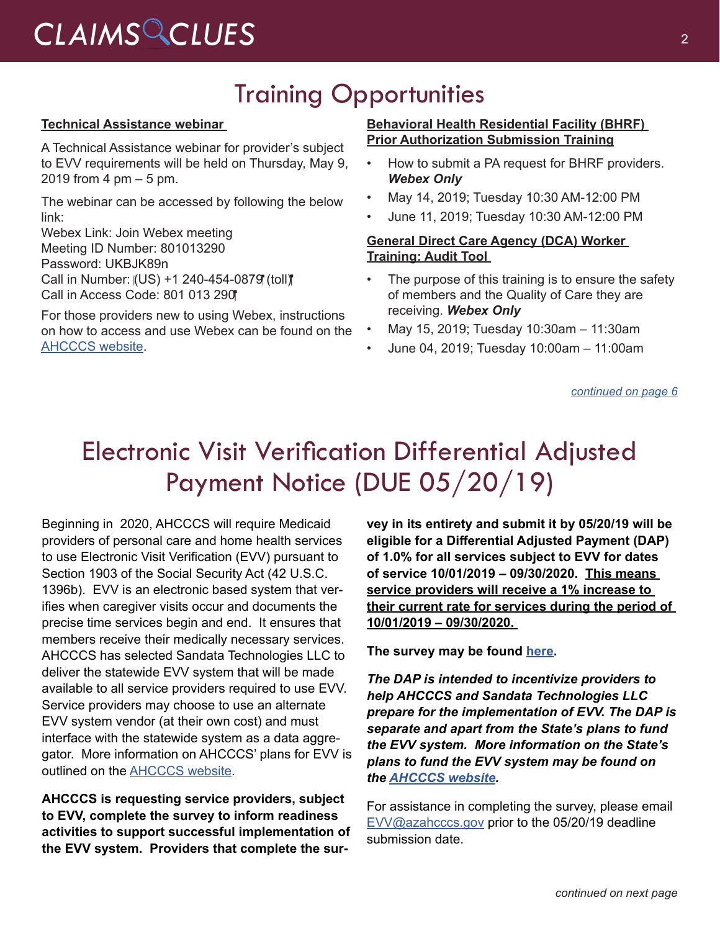## Training Opportunities

#### **Technical Assistance webinar**

A Technical Assistance webinar for provider's subject to EVV requirements will be held on Thursday, May 9, 2019 from 4  $pm - 5$  pm.

The webinar can be accessed by following the below link:

Webex Link: Join Webex meeting Meeting ID Number: 801013290 Password: UKBJK89n Call in Number: (US) +1 240-454-0879 (toll) Call in Access Code: 801 013 290

For those providers new to using Webex, instructions on how to access and use Webex can be found on the [AHCCCS website](https://www.azahcccs.gov/AHCCCS/Downloads/EVV/WebexInstructions.pdf).

#### **Behavioral Health Residential Facility (BHRF) Prior Authorization Submission Training**

- How to submit a PA request for BHRF providers. *Webex Only*
- May 14, 2019; Tuesday 10:30 AM-12:00 PM
- June 11, 2019; Tuesday 10:30 AM-12:00 PM

### **General Direct Care Agency (DCA) Worker Training: Audit Tool**

- The purpose of this training is to ensure the safety of members and the Quality of Care they are receiving. *Webex Only*
- May 15, 2019; Tuesday 10:30am 11:30am
- June 04, 2019; Tuesday 10:00am 11:00am

*[continued on page 6](#page-5-0)*

## Electronic Visit Verification Differential Adjusted Payment Notice (DUE 05/20/19)

Beginning in 2020, AHCCCS will require Medicaid providers of personal care and home health services to use Electronic Visit Verification (EVV) pursuant to Section 1903 of the Social Security Act (42 U.S.C. 1396b). EVV is an electronic based system that verifies when caregiver visits occur and documents the precise time services begin and end. It ensures that members receive their medically necessary services. AHCCCS has selected Sandata Technologies LLC to deliver the statewide EVV system that will be made available to all service providers required to use EVV. Service providers may choose to use an alternate EVV system vendor (at their own cost) and must interface with the statewide system as a data aggregator. More information on AHCCCS' plans for EVV is outlined on the [AHCCCS website](https://www.azahcccs.gov/EVV).

**AHCCCS is requesting service providers, subject to EVV, complete the survey to inform readiness activities to support successful implementation of the EVV system. Providers that complete the sur-**

**vey in its entirety and submit it by 05/20/19 will be eligible for a Differential Adjusted Payment (DAP) of 1.0% for all services subject to EVV for dates of service 10/01/2019 – 09/30/2020. This means service providers will receive a 1% increase to their current rate for services during the period of 10/01/2019 – 09/30/2020.** 

**The survey may be found [here.](https://www.surveymonkey.com/r/LXTL2JX)**

*The DAP is intended to incentivize providers to help AHCCCS and Sandata Technologies LLC prepare for the implementation of EVV. The DAP is separate and apart from the State's plans to fund the EVV system. More information on the State's plans to fund the EVV system may be found on the [AHCCCS website.](http://www.azahcccs.gov/evv)*

For assistance in completing the survey, please email [EVV@azahcccs.gov](mailto:EVV@azahcccs.gov) prior to the 05/20/19 deadline submission date.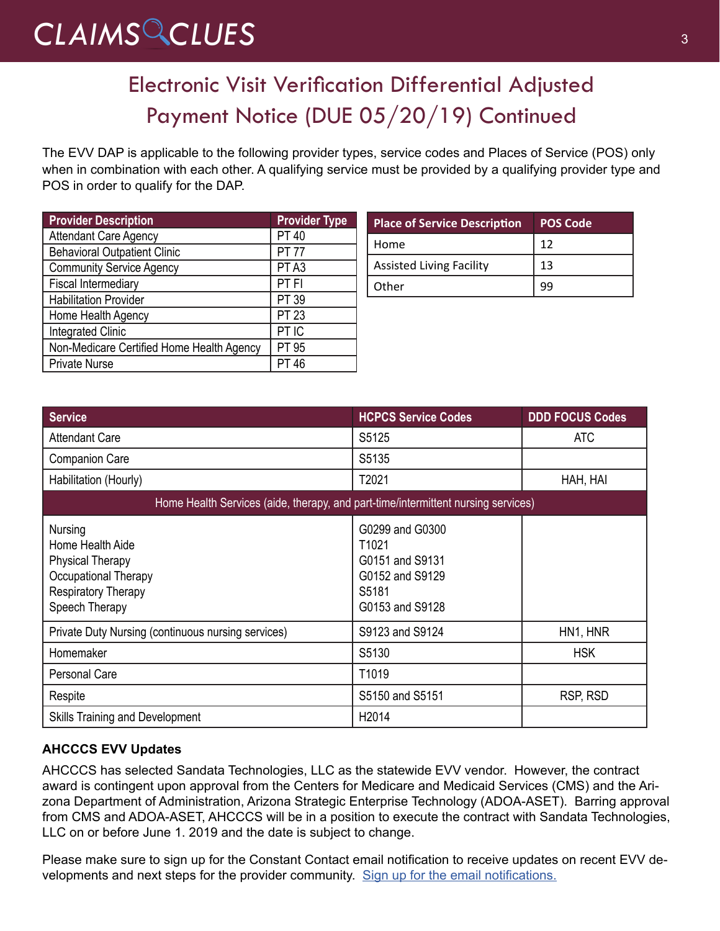# CLAIMS CLUES<sup>3</sup>

## Electronic Visit Verification Differential Adjusted Payment Notice (DUE 05/20/19) Continued

The EVV DAP is applicable to the following provider types, service codes and Places of Service (POS) only when in combination with each other. A qualifying service must be provided by a qualifying provider type and POS in order to qualify for the DAP.

| <b>Provider Description</b>               | <b>Provider Type</b> |
|-------------------------------------------|----------------------|
| Attendant Care Agency                     | <b>PT 40</b>         |
| <b>Behavioral Outpatient Clinic</b>       | <b>PT 77</b>         |
| <b>Community Service Agency</b>           | PT <sub>A3</sub>     |
| Fiscal Intermediary                       | PT FI                |
| Habilitation Provider                     | PT 39                |
| Home Health Agency                        | <b>PT 23</b>         |
| <b>Integrated Clinic</b>                  | PT IC                |
| Non-Medicare Certified Home Health Agency | PT 95                |
| Private Nurse                             | PT 46                |

| <b>Place of Service Description</b> | <b>POS Code</b> |
|-------------------------------------|-----------------|
| Home                                | 12              |
| <b>Assisted Living Facility</b>     | 13              |
| Other                               |                 |

| <b>Service</b>                                                                                                                 | <b>HCPCS Service Codes</b>                                                                 | <b>DDD FOCUS Codes</b> |  |
|--------------------------------------------------------------------------------------------------------------------------------|--------------------------------------------------------------------------------------------|------------------------|--|
| <b>Attendant Care</b>                                                                                                          | S5125                                                                                      | ATC                    |  |
| <b>Companion Care</b>                                                                                                          | S5135                                                                                      |                        |  |
| Habilitation (Hourly)                                                                                                          | T2021                                                                                      | HAH, HAI               |  |
| Home Health Services (aide, therapy, and part-time/intermittent nursing services)                                              |                                                                                            |                        |  |
| Nursing<br>Home Health Aide<br><b>Physical Therapy</b><br>Occupational Therapy<br><b>Respiratory Therapy</b><br>Speech Therapy | G0299 and G0300<br>T1021<br>G0151 and S9131<br>G0152 and S9129<br>S5181<br>G0153 and S9128 |                        |  |
| Private Duty Nursing (continuous nursing services)                                                                             | S9123 and S9124                                                                            | HN1, HNR               |  |
| Homemaker                                                                                                                      | S5130                                                                                      | <b>HSK</b>             |  |
| <b>Personal Care</b>                                                                                                           | T1019                                                                                      |                        |  |
| Respite                                                                                                                        | S5150 and S5151                                                                            | RSP, RSD               |  |
| <b>Skills Training and Development</b>                                                                                         | H <sub>2014</sub>                                                                          |                        |  |

### **AHCCCS EVV Updates**

AHCCCS has selected Sandata Technologies, LLC as the statewide EVV vendor. However, the contract award is contingent upon approval from the Centers for Medicare and Medicaid Services (CMS) and the Arizona Department of Administration, Arizona Strategic Enterprise Technology (ADOA-ASET). Barring approval from CMS and ADOA-ASET, AHCCCS will be in a position to execute the contract with Sandata Technologies, LLC on or before June 1. 2019 and the date is subject to change.

Please make sure to sign up for the Constant Contact email notification to receive updates on recent EVV developments and next steps for the provider community. [Sign up for the email notifications.](https://visitor.r20.constantcontact.com/manage/optin?v=001gF-kjPbNwUkjAeak65PHSjUBP_Tgml8CILKS9ReiEdZCY4JUnbBS79q4-civlh9RxQOvuVRrN_DI0ZtU1HOe0qX6HrfOrfT4BMOfBKccmiPqKlg_B3eNqXUpRS-4GyW5dbzICoL7H3neOX0BtdYXzHEJgfQaRV8ZM7Wk0_04AuMbUqAOFFVsktd6t1DUzsI1)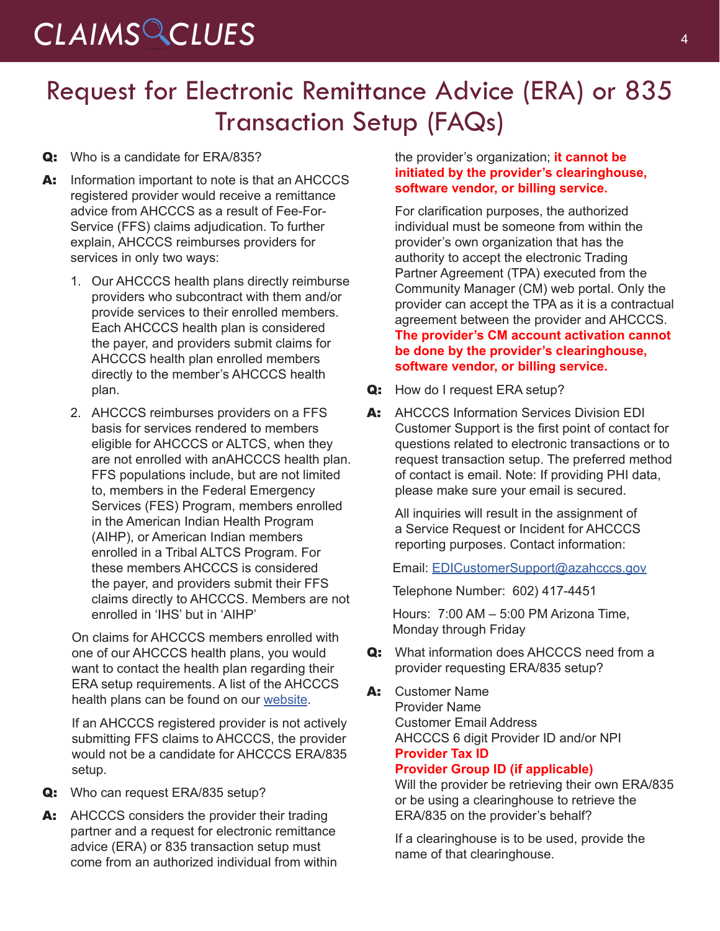## *CLAIMS CLUES* <sup>4</sup>

## Request for Electronic Remittance Advice (ERA) or 835 Transaction Setup (FAQs)

### Q: Who is a candidate for ERA/835?

- A: Information important to note is that an AHCCCS registered provider would receive a remittance advice from AHCCCS as a result of Fee-For-Service (FFS) claims adjudication. To further explain, AHCCCS reimburses providers for services in only two ways:
	- 1. Our AHCCCS health plans directly reimburse providers who subcontract with them and/or provide services to their enrolled members. Each AHCCCS health plan is considered the payer, and providers submit claims for AHCCCS health plan enrolled members directly to the member's AHCCCS health plan.
	- 2. AHCCCS reimburses providers on a FFS basis for services rendered to members eligible for AHCCCS or ALTCS, when they are not enrolled with anAHCCCS health plan. FFS populations include, but are not limited to, members in the Federal Emergency Services (FES) Program, members enrolled in the American Indian Health Program (AIHP), or American Indian members enrolled in a Tribal ALTCS Program. For these members AHCCCS is considered the payer, and providers submit their FFS claims directly to AHCCCS. Members are not enrolled in 'IHS' but in 'AIHP'

On claims for AHCCCS members enrolled with one of our AHCCCS health plans, you would want to contact the health plan regarding their ERA setup requirements. A list of the AHCCCS health plans can be found on our [website](https://azweb.statemedicaid.us/HealthPlanLinksNet/HPLinks.aspx).

If an AHCCCS registered provider is not actively submitting FFS claims to AHCCCS, the provider would not be a candidate for AHCCCS ERA/835 setup.

- Q: Who can request ERA/835 setup?
- A: AHCCCS considers the provider their trading partner and a request for electronic remittance advice (ERA) or 835 transaction setup must come from an authorized individual from within

### the provider's organization; **it cannot be initiated by the provider's clearinghouse, software vendor, or billing service.**

For clarification purposes, the authorized individual must be someone from within the provider's own organization that has the authority to accept the electronic Trading Partner Agreement (TPA) executed from the Community Manager (CM) web portal. Only the provider can accept the TPA as it is a contractual agreement between the provider and AHCCCS. **The provider's CM account activation cannot be done by the provider's clearinghouse, software vendor, or billing service.**

- Q: How do I request ERA setup?
- A: AHCCCS Information Services Division EDI Customer Support is the first point of contact for questions related to electronic transactions or to request transaction setup. The preferred method of contact is email. Note: If providing PHI data, please make sure your email is secured.

All inquiries will result in the assignment of a Service Request or Incident for AHCCCS reporting purposes. Contact information:

Email: [EDICustomerSupport@azahcccs.gov](mailto:EDICustomerSupport%40azahcccs.gov?subject=)

Telephone Number: 602) 417-4451

Hours: 7:00 AM – 5:00 PM Arizona Time, Monday through Friday

- Q: What information does AHCCCS need from a provider requesting ERA/835 setup?
- A: Customer Name Provider Name Customer Email Address AHCCCS 6 digit Provider ID and/or NPI **Provider Tax ID Provider Group ID (if applicable)**

Will the provider be retrieving their own ERA/835 or be using a clearinghouse to retrieve the ERA/835 on the provider's behalf?

If a clearinghouse is to be used, provide the name of that clearinghouse.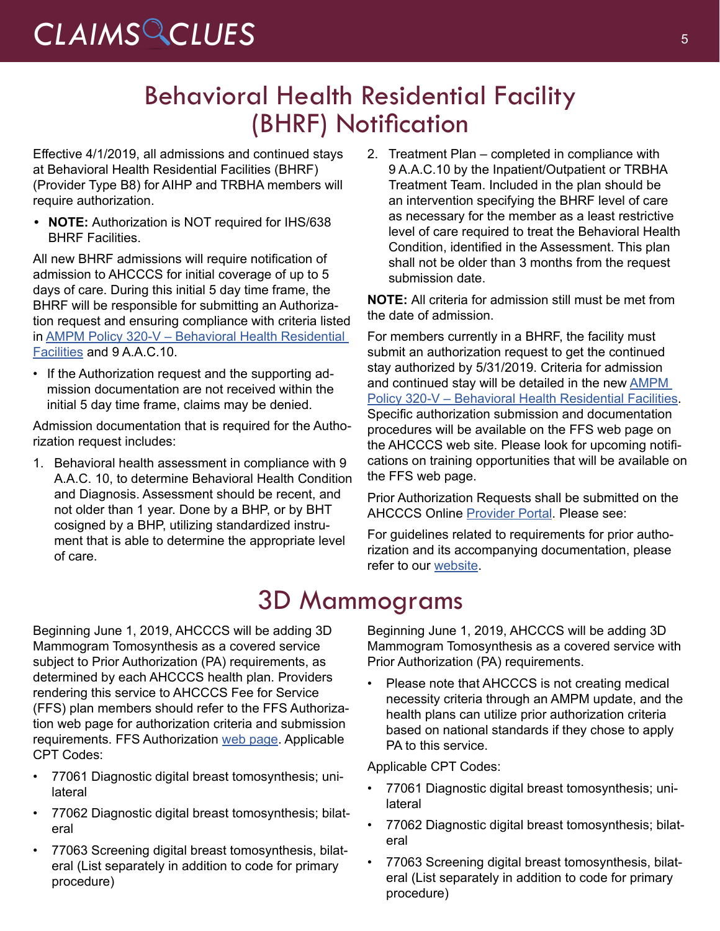# *CLAIMS CLUES* <sup>5</sup>

## Behavioral Health Residential Facility (BHRF) Notification

Effective 4/1/2019, all admissions and continued stays at Behavioral Health Residential Facilities (BHRF) (Provider Type B8) for AIHP and TRBHA members will require authorization.

**• NOTE:** Authorization is NOT required for IHS/638 BHRF Facilities.

All new BHRF admissions will require notification of admission to AHCCCS for initial coverage of up to 5 days of care. During this initial 5 day time frame, the BHRF will be responsible for submitting an Authorization request and ensuring compliance with criteria listed in [AMPM Policy 320-V – Behavioral Health Residential](https://www.azahcccs.gov/shared/Downloads/MedicalPolicyManual/300/320-V.pdf)  [Facilities](https://www.azahcccs.gov/shared/Downloads/MedicalPolicyManual/300/320-V.pdf) and 9 A.A.C.10.

• If the Authorization request and the supporting admission documentation are not received within the initial 5 day time frame, claims may be denied.

Admission documentation that is required for the Authorization request includes:

1. Behavioral health assessment in compliance with 9 A.A.C. 10, to determine Behavioral Health Condition and Diagnosis. Assessment should be recent, and not older than 1 year. Done by a BHP, or by BHT cosigned by a BHP, utilizing standardized instrument that is able to determine the appropriate level of care.

2. Treatment Plan – completed in compliance with 9 A.A.C.10 by the Inpatient/Outpatient or TRBHA Treatment Team. Included in the plan should be an intervention specifying the BHRF level of care as necessary for the member as a least restrictive level of care required to treat the Behavioral Health Condition, identified in the Assessment. This plan shall not be older than 3 months from the request submission date.

**NOTE:** All criteria for admission still must be met from the date of admission.

For members currently in a BHRF, the facility must submit an authorization request to get the continued stay authorized by 5/31/2019. Criteria for admission and continued stay will be detailed in the new [AMPM](https://www.azahcccs.gov/shared/Downloads/MedicalPolicyManual/300/320-V.pdf)  [Policy 320-V – Behavioral Health Residential Facilities](https://www.azahcccs.gov/shared/Downloads/MedicalPolicyManual/300/320-V.pdf). Specific authorization submission and documentation procedures will be available on the FFS web page on the AHCCCS web site. Please look for upcoming notifications on training opportunities that will be available on the FFS web page.

Prior Authorization Requests shall be submitted on the AHCCCS Online [Provider Portal](https://www.azahcccs.gov/PlansProviders/FeeForServiceHealthPlans/PriorAuthorization/submissionprocess.html
). Please see:

For guidelines related to requirements for prior authorization and its accompanying documentation, please refer to our [website](https://www.azahcccs.gov/PlansProviders/FeeForServiceHealthPlans/PriorAuthorization/requirements.html).

## 3D Mammograms

Beginning June 1, 2019, AHCCCS will be adding 3D Mammogram Tomosynthesis as a covered service subject to Prior Authorization (PA) requirements, as determined by each AHCCCS health plan. Providers rendering this service to AHCCCS Fee for Service (FFS) plan members should refer to the FFS Authorization web page for authorization criteria and submission requirements. FFS Authorization [web page](https://www.azahcccs.gov/PlansProviders/FeeForServiceHealthPlans/PriorAuthorization/requirements.html). Applicable CPT Codes:

- 77061 Diagnostic digital breast tomosynthesis; unilateral
- 77062 Diagnostic digital breast tomosynthesis; bilateral
- 77063 Screening digital breast tomosynthesis, bilateral (List separately in addition to code for primary procedure)

Beginning June 1, 2019, AHCCCS will be adding 3D Mammogram Tomosynthesis as a covered service with Prior Authorization (PA) requirements.

Please note that AHCCCS is not creating medical necessity criteria through an AMPM update, and the health plans can utilize prior authorization criteria based on national standards if they chose to apply PA to this service.

Applicable CPT Codes:

- 77061 Diagnostic digital breast tomosynthesis; unilateral
- 77062 Diagnostic digital breast tomosynthesis; bilateral
- 77063 Screening digital breast tomosynthesis, bilateral (List separately in addition to code for primary procedure)